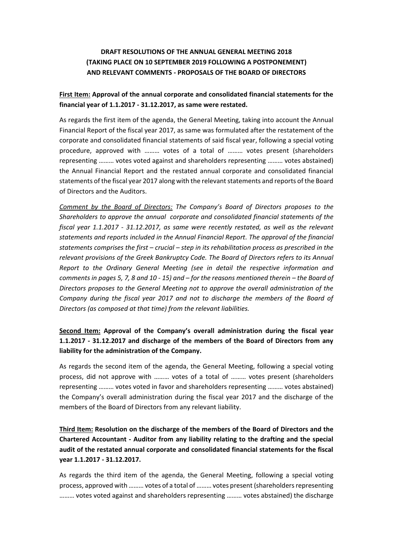# **DRAFT RESOLUTIONS OF THE ANNUAL GENERAL MEETING 2018 (TAKING PLACE ON 10 SEPTEMBER 2019 FOLLOWING A POSTPONEMENT) AND RELEVANT COMMENTS - PROPOSALS OF THE BOARD OF DIRECTORS**

## **First Item: Approval of the annual corporate and consolidated financial statements for the financial year of 1.1.2017 - 31.12.2017, as same were restated.**

As regards the first item of the agenda, the General Meeting, taking into account the Annual Financial Report of the fiscal year 2017, as same was formulated after the restatement of the corporate and consolidated financial statements of said fiscal year, following a special voting procedure, approved with ……… votes of a total of ……… votes present (shareholders representing ……… votes voted against and shareholders representing ……… votes abstained) the Annual Financial Report and the restated annual corporate and consolidated financial statements of the fiscal year 2017 along with the relevant statements and reports of the Board of Directors and the Auditors.

*Comment by the Board of Directors: The Company's Board of Directors proposes to the Shareholders to approve the annual corporate and consolidated financial statements of the fiscal year 1.1.2017 - 31.12.2017, as same were recently restated, as well as the relevant statements and reports included in the Annual Financial Report. The approval of the financial statements comprises the first – crucial – step in its rehabilitation process as prescribed in the relevant provisions of the Greek Bankruptcy Code. The Board of Directors refers to its Annual Report to the Ordinary General Meeting (see in detail the respective information and comments in pages 5, 7, 8 and 10 - 15) and – for the reasons mentioned therein – the Board of Directors proposes to the General Meeting not to approve the overall administration of the Company during the fiscal year 2017 and not to discharge the members of the Board of Directors (as composed at that time) from the relevant liabilities.*

## **Second Item: Approval of the Company's overall administration during the fiscal year 1.1.2017 - 31.12.2017 and discharge of the members of the Board of Directors from any liability for the administration of the Company.**

As regards the second item of the agenda, the General Meeting, following a special voting process, did not approve with ……… votes of a total of ……… votes present (shareholders representing ……… votes voted in favor and shareholders representing ……… votes abstained) the Company's overall administration during the fiscal year 2017 and the discharge of the members of the Board of Directors from any relevant liability.

**Third Item: Resolution on the discharge of the members of the Board of Directors and the Chartered Accountant - Auditor from any liability relating to the drafting and the special audit of the restated annual corporate and consolidated financial statements for the fiscal year 1.1.2017 - 31.12.2017.**

As regards the third item of the agenda, the General Meeting, following a special voting process, approved with ……… votes of a total of ……… votes present (shareholders representing ……… votes voted against and shareholders representing ……… votes abstained) the discharge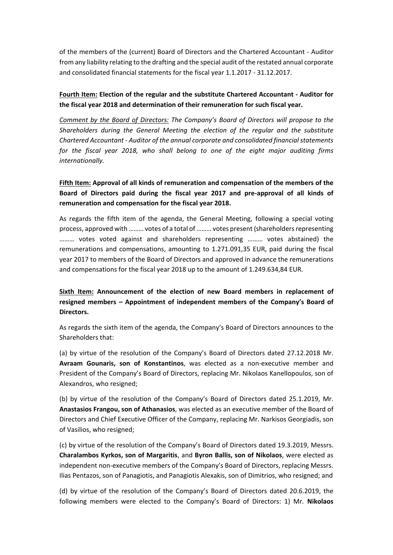of the members of the (current) Board of Directors and the Chartered Accountant - Auditor from any liability relating to the drafting and the special audit of the restated annual corporate and consolidated financial statements for the fiscal year 1.1.2017 - 31.12.2017.

## **Fourth Item: Election of the regular and the substitute Chartered Accountant - Auditor for the fiscal year 2018 and determination of their remuneration for such fiscal year.**

*Comment by the Board of Directors: The Company's Board of Directors will propose to the Shareholders during the General Meeting the election of the regular and the substitute Chartered Accountant - Auditor of the annual corporate and consolidated financial statements for the fiscal year 2018, who shall belong to one of the eight major auditing firms internationally.*

# **Fifth Item: Approval of all kinds of remuneration and compensation of the members of the Board of Directors paid during the fiscal year 2017 and pre-approval of all kinds of remuneration and compensation for the fiscal year 2018.**

As regards the fifth item of the agenda, the General Meeting, following a special voting process, approved with ……… votes of a total of ……… votes present (shareholders representing ……… votes voted against and shareholders representing ……… votes abstained) the remunerations and compensations, amounting to 1.271.091,35 EUR, paid during the fiscal year 2017 to members of the Board of Directors and approved in advance the remunerations and compensations for the fiscal year 2018 up to the amount of 1.249.634,84 EUR.

# **Sixth Item: Announcement of the election of new Board members in replacement of resigned members – Appointment of independent members of the Company's Board of Directors.**

As regards the sixth item of the agenda, the Company's Board of Directors announces to the Shareholders that:

(a) by virtue of the resolution of the Company's Board of Directors dated 27.12.2018 Mr. **Avraam Gounaris, son of Konstantinos**, was elected as a non-executive member and President of the Company's Board of Directors, replacing Mr. Nikolaos Kanellopoulos, son of Alexandros, who resigned;

(b) by virtue of the resolution of the Company's Board of Directors dated 25.1.2019, Mr. **Anastasios Frangou, son of Athanasios**, was elected as an executive member of the Board of Directors and Chief Executive Officer of the Company, replacing Mr. Narkisos Georgiadis, son of Vasilios, who resigned;

(c) by virtue of the resolution of the Company's Board of Directors dated 19.3.2019, Messrs. **Charalambos Kyrkos, son of Margaritis**, and **Byron Ballis, son of Nikolaos**, were elected as independent non-executive members of the Company's Board of Directors, replacing Messrs. Ilias Pentazos, son of Panagiotis, and Panagiotis Alexakis, son of Dimitrios, who resigned; and

(d) by virtue of the resolution of the Company's Board of Directors dated 20.6.2019, the following members were elected to the Company's Board of Directors: 1) Mr. **Nikolaos**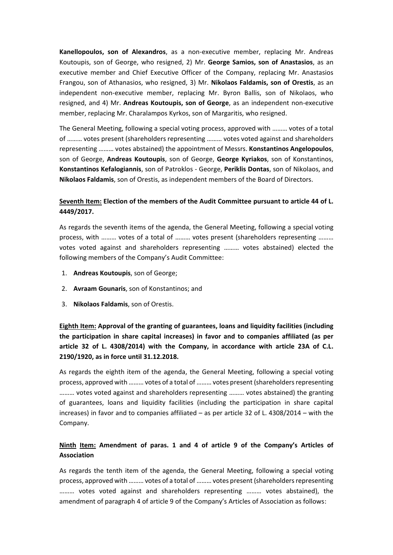**Kanellopoulos, son of Alexandros**, as a non-executive member, replacing Mr. Andreas Koutoupis, son of George, who resigned, 2) Mr. **George Samios, son of Anastasios**, as an executive member and Chief Executive Officer of the Company, replacing Mr. Anastasios Frangou, son of Athanasios, who resigned, 3) Mr. **Nikolaos Faldamis, son of Orestis**, as an independent non-executive member, replacing Mr. Byron Ballis, son of Nikolaos, who resigned, and 4) Mr. **Andreas Koutoupis, son of George**, as an independent non-executive member, replacing Mr. Charalampos Kyrkos, son of Margaritis, who resigned.

The General Meeting, following a special voting process, approved with ……… votes of a total of ……… votes present (shareholders representing ……… votes voted against and shareholders representing ……… votes abstained) the appointment of Messrs. **Konstantinos Angelopoulos**, son of George, **Andreas Koutoupis**, son of George, **George Kyriakos**, son of Konstantinos, **Konstantinos Kefalogiannis**, son of Patroklos - George, **Periklis Dontas**, son of Nikolaos, and **Nikolaos Faldamis**, son of Orestis, as independent members of the Board of Directors.

## **Seventh Item: Election of the members of the Audit Committee pursuant to article 44 of L. 4449/2017.**

As regards the seventh items of the agenda, the General Meeting, following a special voting process, with ……… votes of a total of ……… votes present (shareholders representing ……… votes voted against and shareholders representing ……… votes abstained) elected the following members of the Company's Audit Committee:

- 1. **Andreas Koutoupis**, son of George;
- 2. **Avraam Gounaris**, son of Konstantinos; and
- 3. **Nikolaos Faldamis**, son of Orestis.

**Eighth Item: Approval of the granting of guarantees, loans and liquidity facilities (including the participation in share capital increases) in favor and to companies affiliated (as per article 32 of L. 4308/2014) with the Company, in accordance with article 23A of C.L. 2190/1920, as in force until 31.12.2018.**

As regards the eighth item of the agenda, the General Meeting, following a special voting process, approved with ……… votes of a total of ……… votes present (shareholders representing ……… votes voted against and shareholders representing ……… votes abstained) the granting of guarantees, loans and liquidity facilities (including the participation in share capital increases) in favor and to companies affiliated – as per article 32 of L. 4308/2014 – with the Company.

## **Ninth Item: Amendment of paras. 1 and 4 of article 9 of the Company's Articles of Association**

As regards the tenth item of the agenda, the General Meeting, following a special voting process, approved with ……… votes of a total of ……… votes present (shareholders representing ……… votes voted against and shareholders representing ……… votes abstained), the amendment of paragraph 4 of article 9 of the Company's Articles of Association as follows: